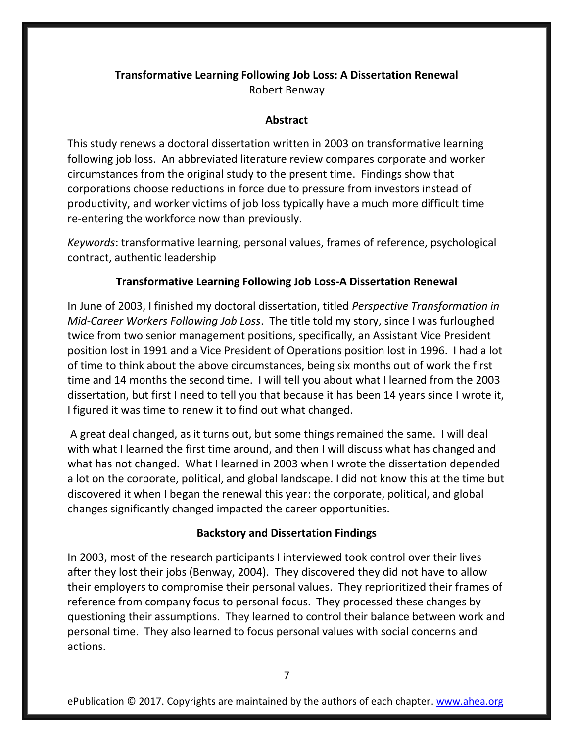# **Transformative Learning Following Job Loss: A Dissertation Renewal** Robert Benway

## **Abstract**

This study renews a doctoral dissertation written in 2003 on transformative learning following job loss. An abbreviated literature review compares corporate and worker circumstances from the original study to the present time. Findings show that corporations choose reductions in force due to pressure from investors instead of productivity, and worker victims of job loss typically have a much more difficult time re-entering the workforce now than previously.

*Keywords*: transformative learning, personal values, frames of reference, psychological contract, authentic leadership

## **Transformative Learning Following Job Loss-A Dissertation Renewal**

In June of 2003, I finished my doctoral dissertation, titled *Perspective Transformation in Mid-Career Workers Following Job Loss*. The title told my story, since I was furloughed twice from two senior management positions, specifically, an Assistant Vice President position lost in 1991 and a Vice President of Operations position lost in 1996. I had a lot of time to think about the above circumstances, being six months out of work the first time and 14 months the second time. I will tell you about what I learned from the 2003 dissertation, but first I need to tell you that because it has been 14 years since I wrote it, I figured it was time to renew it to find out what changed.

A great deal changed, as it turns out, but some things remained the same. I will deal with what I learned the first time around, and then I will discuss what has changed and what has not changed. What I learned in 2003 when I wrote the dissertation depended a lot on the corporate, political, and global landscape. I did not know this at the time but discovered it when I began the renewal this year: the corporate, political, and global changes significantly changed impacted the career opportunities.

## **Backstory and Dissertation Findings**

In 2003, most of the research participants I interviewed took control over their lives after they lost their jobs (Benway, 2004). They discovered they did not have to allow their employers to compromise their personal values. They reprioritized their frames of reference from company focus to personal focus. They processed these changes by questioning their assumptions. They learned to control their balance between work and personal time. They also learned to focus personal values with social concerns and actions.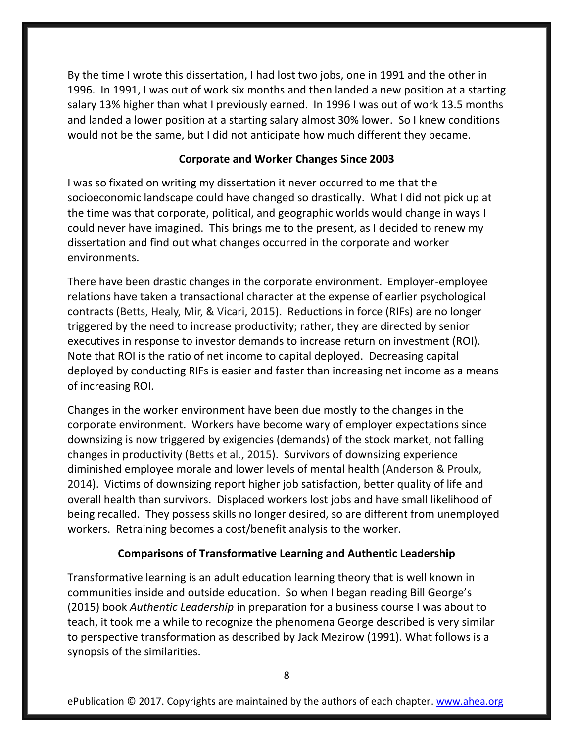By the time I wrote this dissertation, I had lost two jobs, one in 1991 and the other in 1996. In 1991, I was out of work six months and then landed a new position at a starting salary 13% higher than what I previously earned. In 1996 I was out of work 13.5 months and landed a lower position at a starting salary almost 30% lower. So I knew conditions would not be the same, but I did not anticipate how much different they became.

## **Corporate and Worker Changes Since 2003**

I was so fixated on writing my dissertation it never occurred to me that the socioeconomic landscape could have changed so drastically. What I did not pick up at the time was that corporate, political, and geographic worlds would change in ways I could never have imagined. This brings me to the present, as I decided to renew my dissertation and find out what changes occurred in the corporate and worker environments.

There have been drastic changes in the corporate environment. Employer-employee relations have taken a transactional character at the expense of earlier psychological contracts (Betts, Healy, Mir, & Vicari, 2015). Reductions in force (RIFs) are no longer triggered by the need to increase productivity; rather, they are directed by senior executives in response to investor demands to increase return on investment (ROI). Note that ROI is the ratio of net income to capital deployed. Decreasing capital deployed by conducting RIFs is easier and faster than increasing net income as a means of increasing ROI.

Changes in the worker environment have been due mostly to the changes in the corporate environment. Workers have become wary of employer expectations since downsizing is now triggered by exigencies (demands) of the stock market, not falling changes in productivity (Betts et al., 2015). Survivors of downsizing experience diminished employee morale and lower levels of mental health (Anderson & Proulx, 2014). Victims of downsizing report higher job satisfaction, better quality of life and overall health than survivors. Displaced workers lost jobs and have small likelihood of being recalled. They possess skills no longer desired, so are different from unemployed workers. Retraining becomes a cost/benefit analysis to the worker.

## **Comparisons of Transformative Learning and Authentic Leadership**

Transformative learning is an adult education learning theory that is well known in communities inside and outside education. So when I began reading Bill George's (2015) book *Authentic Leadership* in preparation for a business course I was about to teach, it took me a while to recognize the phenomena George described is very similar to perspective transformation as described by Jack Mezirow (1991). What follows is a synopsis of the similarities.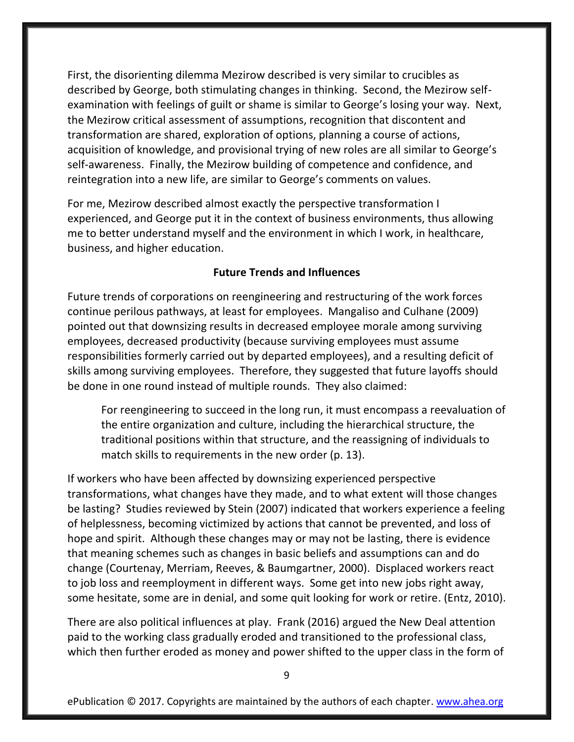First, the disorienting dilemma Mezirow described is very similar to crucibles as described by George, both stimulating changes in thinking. Second, the Mezirow selfexamination with feelings of guilt or shame is similar to George's losing your way. Next, the Mezirow critical assessment of assumptions, recognition that discontent and transformation are shared, exploration of options, planning a course of actions, acquisition of knowledge, and provisional trying of new roles are all similar to George's self-awareness. Finally, the Mezirow building of competence and confidence, and reintegration into a new life, are similar to George's comments on values.

For me, Mezirow described almost exactly the perspective transformation I experienced, and George put it in the context of business environments, thus allowing me to better understand myself and the environment in which I work, in healthcare, business, and higher education.

#### **Future Trends and Influences**

Future trends of corporations on reengineering and restructuring of the work forces continue perilous pathways, at least for employees. Mangaliso and Culhane (2009) pointed out that downsizing results in decreased employee morale among surviving employees, decreased productivity (because surviving employees must assume responsibilities formerly carried out by departed employees), and a resulting deficit of skills among surviving employees. Therefore, they suggested that future layoffs should be done in one round instead of multiple rounds. They also claimed:

For reengineering to succeed in the long run, it must encompass a reevaluation of the entire organization and culture, including the hierarchical structure, the traditional positions within that structure, and the reassigning of individuals to match skills to requirements in the new order (p. 13).

If workers who have been affected by downsizing experienced perspective transformations, what changes have they made, and to what extent will those changes be lasting? Studies reviewed by Stein (2007) indicated that workers experience a feeling of helplessness, becoming victimized by actions that cannot be prevented, and loss of hope and spirit. Although these changes may or may not be lasting, there is evidence that meaning schemes such as changes in basic beliefs and assumptions can and do change (Courtenay, Merriam, Reeves, & Baumgartner, 2000). Displaced workers react to job loss and reemployment in different ways. Some get into new jobs right away, some hesitate, some are in denial, and some quit looking for work or retire. (Entz, 2010).

There are also political influences at play. Frank (2016) argued the New Deal attention paid to the working class gradually eroded and transitioned to the professional class, which then further eroded as money and power shifted to the upper class in the form of

9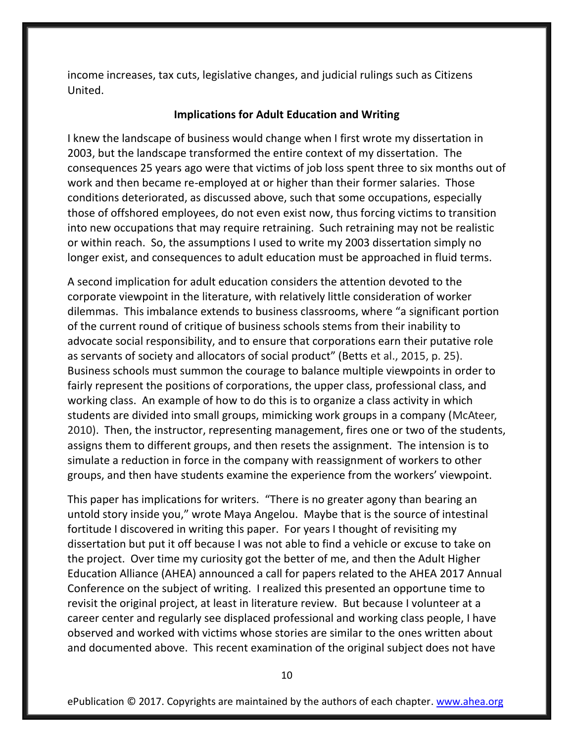income increases, tax cuts, legislative changes, and judicial rulings such as Citizens United.

#### **Implications for Adult Education and Writing**

I knew the landscape of business would change when I first wrote my dissertation in 2003, but the landscape transformed the entire context of my dissertation. The consequences 25 years ago were that victims of job loss spent three to six months out of work and then became re-employed at or higher than their former salaries. Those conditions deteriorated, as discussed above, such that some occupations, especially those of offshored employees, do not even exist now, thus forcing victims to transition into new occupations that may require retraining. Such retraining may not be realistic or within reach. So, the assumptions I used to write my 2003 dissertation simply no longer exist, and consequences to adult education must be approached in fluid terms.

A second implication for adult education considers the attention devoted to the corporate viewpoint in the literature, with relatively little consideration of worker dilemmas. This imbalance extends to business classrooms, where "a significant portion of the current round of critique of business schools stems from their inability to advocate social responsibility, and to ensure that corporations earn their putative role as servants of society and allocators of social product" (Betts et al., 2015, p. 25). Business schools must summon the courage to balance multiple viewpoints in order to fairly represent the positions of corporations, the upper class, professional class, and working class. An example of how to do this is to organize a class activity in which students are divided into small groups, mimicking work groups in a company (McAteer, 2010). Then, the instructor, representing management, fires one or two of the students, assigns them to different groups, and then resets the assignment. The intension is to simulate a reduction in force in the company with reassignment of workers to other groups, and then have students examine the experience from the workers' viewpoint.

This paper has implications for writers. "There is no greater agony than bearing an untold story inside you," wrote Maya Angelou. Maybe that is the source of intestinal fortitude I discovered in writing this paper. For years I thought of revisiting my dissertation but put it off because I was not able to find a vehicle or excuse to take on the project. Over time my curiosity got the better of me, and then the Adult Higher Education Alliance (AHEA) announced a call for papers related to the AHEA 2017 Annual Conference on the subject of writing. I realized this presented an opportune time to revisit the original project, at least in literature review. But because I volunteer at a career center and regularly see displaced professional and working class people, I have observed and worked with victims whose stories are similar to the ones written about and documented above. This recent examination of the original subject does not have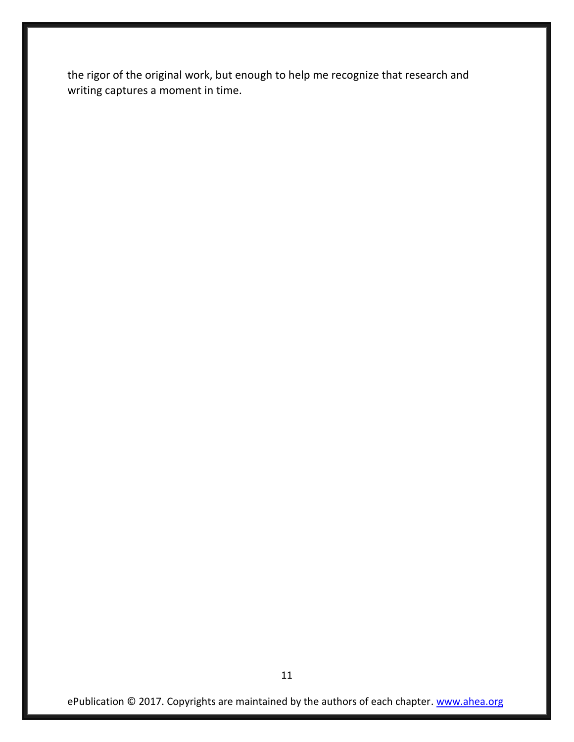the rigor of the original work, but enough to help me recognize that research and writing captures a moment in time.

ePublication © 2017. Copyrights are maintained by the authors of each chapter. [www.ahea.org](http://www.ahea.org/)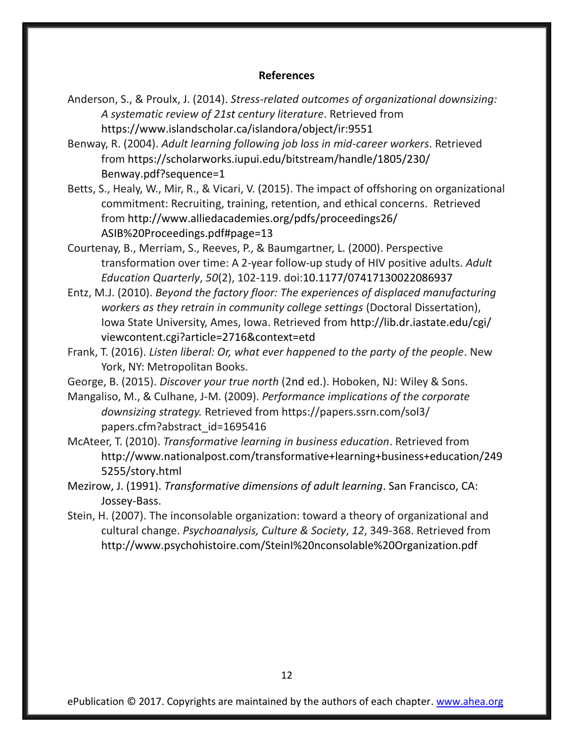#### **References**

- Anderson, S., & Proulx, J. (2014). *Stress-related outcomes of organizational downsizing: A systematic review of 21st century literature*. Retrieved from https://www.islandscholar.ca/islandora/object/ir:9551
- Benway, R. (2004). *Adult learning following job loss in mid-career workers*. Retrieved from https://scholarworks.iupui.edu/bitstream/handle/1805/230/ Benway.pdf?sequence=1
- Betts, S., Healy, W., Mir, R., & Vicari, V. (2015). The impact of offshoring on organizational commitment: Recruiting, training, retention, and ethical concerns. Retrieved from http://www.alliedacademies.org/pdfs/proceedings26/ ASIB%20Proceedings.pdf#page=13
- Courtenay, B., Merriam, S., Reeves, P., & Baumgartner, L. (2000). Perspective transformation over time: A 2-year follow-up study of HIV positive adults. *Adult Education Quarterly*, *50*(2), 102-119. doi:10.1177/07417130022086937
- Entz, M.J. (2010). *Beyond the factory floor: The experiences of displaced manufacturing workers as they retrain in community college settings* (Doctoral Dissertation), Iowa State University, Ames, Iowa. Retrieved from http://lib.dr.iastate.edu/cgi/ viewcontent.cgi?article=2716&context=etd
- Frank, T. (2016). *Listen liberal: Or, what ever happened to the party of the people*. New York, NY: Metropolitan Books.
- George, B. (2015). *Discover your true north* (2nd ed.). Hoboken, NJ: Wiley & Sons.

Mangaliso, M., & Culhane, J-M. (2009). *Performance implications of the corporate downsizing strategy.* Retrieved from https://papers.ssrn.com/sol3/ papers.cfm?abstract\_id=1695416

- McAteer, T. (2010). *Transformative learning in business education*. Retrieved from http://www.nationalpost.com/transformative+learning+business+education/249 5255/story.html
- Mezirow, J. (1991). *Transformative dimensions of adult learning*. San Francisco, CA: Jossey-Bass.
- Stein, H. (2007). The inconsolable organization: toward a theory of organizational and cultural change. *Psychoanalysis, Culture & Society*, *12*, 349-368. Retrieved from http://www.psychohistoire.com/SteinI%20nconsolable%20Organization.pdf

ePublication © 2017. Copyrights are maintained by the authors of each chapter. [www.ahea.org](http://www.ahea.org/)